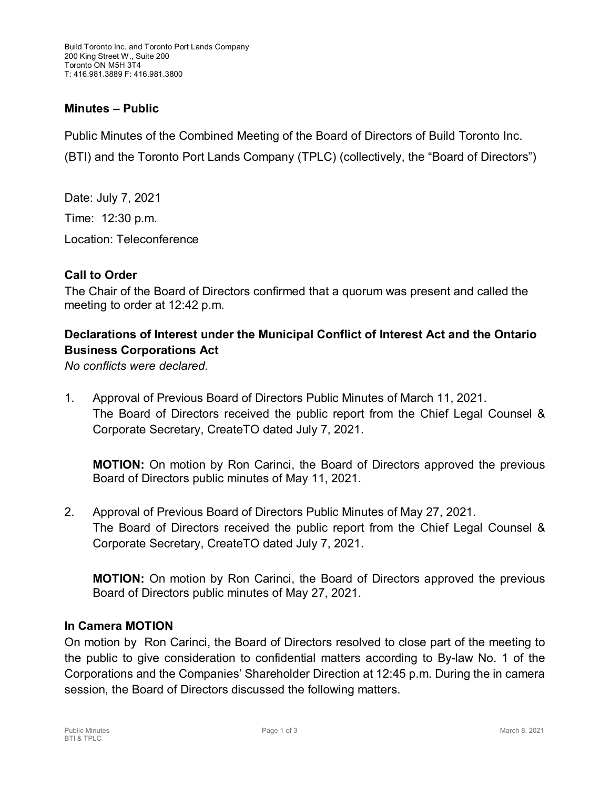### **Minutes – Public**

Public Minutes of the Combined Meeting of the Board of Directors of Build Toronto Inc. (BTI) and the Toronto Port Lands Company (TPLC) (collectively, the "Board of Directors")

Date: July 7, 2021 Time: 12:30 p.m. Location: Teleconference

### **Call to Order**

The Chair of the Board of Directors confirmed that a quorum was present and called the meeting to order at 12:42 p.m.

# **Declarations of Interest under the Municipal Conflict of Interest Act and the Ontario Business Corporations Act**

*No conflicts were declared.*

1. Approval of Previous Board of Directors Public Minutes of March 11, 2021. The Board of Directors received the public report from the Chief Legal Counsel & Corporate Secretary, CreateTO dated July 7, 2021.

**MOTION:** On motion by Ron Carinci, the Board of Directors approved the previous Board of Directors public minutes of May 11, 2021.

2. Approval of Previous Board of Directors Public Minutes of May 27, 2021. The Board of Directors received the public report from the Chief Legal Counsel & Corporate Secretary, CreateTO dated July 7, 2021.

**MOTION:** On motion by Ron Carinci, the Board of Directors approved the previous Board of Directors public minutes of May 27, 2021.

#### **In Camera MOTION**

On motion by Ron Carinci, the Board of Directors resolved to close part of the meeting to the public to give consideration to confidential matters according to By-law No. 1 of the Corporations and the Companies' Shareholder Direction at 12:45 p.m. During the in camera session, the Board of Directors discussed the following matters.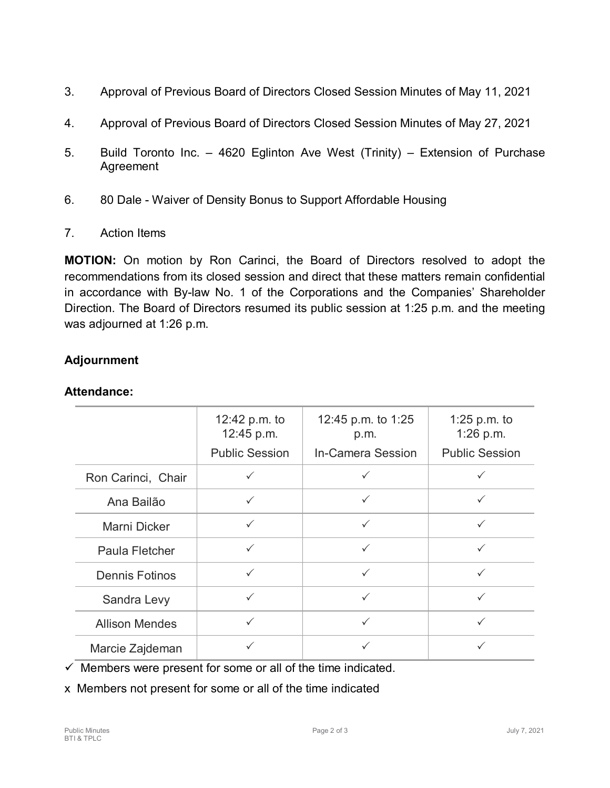- 3. Approval of Previous Board of Directors Closed Session Minutes of May 11, 2021
- 4. Approval of Previous Board of Directors Closed Session Minutes of May 27, 2021
- 5. Build Toronto Inc. 4620 Eglinton Ave West (Trinity) Extension of Purchase Agreement
- 6. 80 Dale Waiver of Density Bonus to Support Affordable Housing
- 7. Action Items

**MOTION:** On motion by Ron Carinci, the Board of Directors resolved to adopt the recommendations from its closed session and direct that these matters remain confidential in accordance with By-law No. 1 of the Corporations and the Companies' Shareholder Direction. The Board of Directors resumed its public session at 1:25 p.m. and the meeting was adjourned at 1:26 p.m.

# **Adjournment**

## **Attendance:**

|                       | 12:42 p.m. to<br>12:45 p.m. | 12:45 p.m. to 1:25<br>p.m. | 1:25 p.m. to<br>1:26 p.m. |
|-----------------------|-----------------------------|----------------------------|---------------------------|
|                       | <b>Public Session</b>       | <b>In-Camera Session</b>   | <b>Public Session</b>     |
| Ron Carinci, Chair    |                             |                            | ✓                         |
| Ana Bailão            | $\checkmark$                |                            |                           |
| Marni Dicker          | $\checkmark$                | $\checkmark$               | $\checkmark$              |
| Paula Fletcher        | $\checkmark$                | $\checkmark$               | ✓                         |
| <b>Dennis Fotinos</b> |                             | ✓                          | ✓                         |
| Sandra Levy           | $\checkmark$                | ✓                          | ✓                         |
| <b>Allison Mendes</b> | $\checkmark$                |                            |                           |
| Marcie Zajdeman       |                             |                            |                           |

 $\checkmark$  Members were present for some or all of the time indicated.

x Members not present for some or all of the time indicated